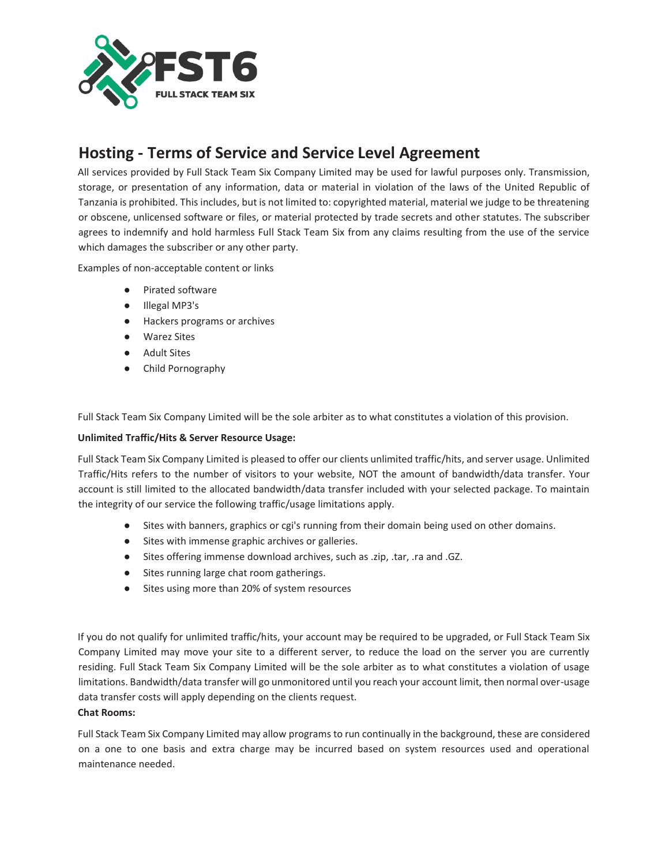

# **Hosting - Terms of Service and Service Level Agreement**

All services provided by Full Stack Team Six Company Limited may be used for lawful purposes only. Transmission, storage, or presentation of any information, data or material in violation of the laws of the United Republic of Tanzania is prohibited. This includes, but is not limited to: copyrighted material, material we judge to be threatening or obscene, unlicensed software or files, or material protected by trade secrets and other statutes. The subscriber agrees to indemnify and hold harmless Full Stack Team Six from any claims resulting from the use of the service which damages the subscriber or any other party.

Examples of non-acceptable content or links

- Pirated software
- Illegal MP3's
- Hackers programs or archives
- Warez Sites
- **Adult Sites**
- Child Pornography

Full Stack Team Six Company Limited will be the sole arbiter as to what constitutes a violation of this provision.

# **Unlimited Traffic/Hits & Server Resource Usage:**

Full Stack Team Six Company Limited is pleased to offer our clients unlimited traffic/hits, and server usage. Unlimited Traffic/Hits refers to the number of visitors to your website, NOT the amount of bandwidth/data transfer. Your account is still limited to the allocated bandwidth/data transfer included with your selected package. To maintain the integrity of our service the following traffic/usage limitations apply.

- Sites with banners, graphics or cgi's running from their domain being used on other domains.
- Sites with immense graphic archives or galleries.
- Sites offering immense download archives, such as .zip, .tar, .ra and .GZ.
- Sites running large chat room gatherings.
- Sites using more than 20% of system resources

If you do not qualify for unlimited traffic/hits, your account may be required to be upgraded, or Full Stack Team Six Company Limited may move your site to a different server, to reduce the load on the server you are currently residing. Full Stack Team Six Company Limited will be the sole arbiter as to what constitutes a violation of usage limitations. Bandwidth/data transfer will go unmonitored until you reach your account limit, then normal over-usage data transfer costs will apply depending on the clients request.

# **Chat Rooms:**

Full Stack Team Six Company Limited may allow programs to run continually in the background, these are considered on a one to one basis and extra charge may be incurred based on system resources used and operational maintenance needed.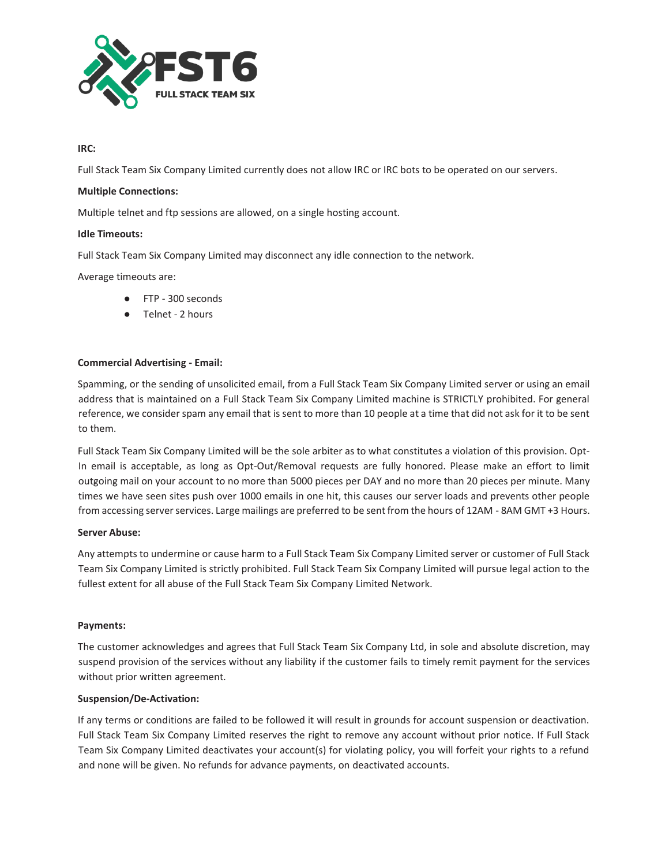

# **IRC:**

Full Stack Team Six Company Limited currently does not allow IRC or IRC bots to be operated on our servers.

## **Multiple Connections:**

Multiple telnet and ftp sessions are allowed, on a single hosting account.

## **Idle Timeouts:**

Full Stack Team Six Company Limited may disconnect any idle connection to the network.

Average timeouts are:

- FTP 300 seconds
- Telnet 2 hours

## **Commercial Advertising - Email:**

Spamming, or the sending of unsolicited email, from a Full Stack Team Six Company Limited server or using an email address that is maintained on a Full Stack Team Six Company Limited machine is STRICTLY prohibited. For general reference, we consider spam any email that is sent to more than 10 people at a time that did not ask for it to be sent to them.

Full Stack Team Six Company Limited will be the sole arbiter as to what constitutes a violation of this provision. Opt-In email is acceptable, as long as Opt-Out/Removal requests are fully honored. Please make an effort to limit outgoing mail on your account to no more than 5000 pieces per DAY and no more than 20 pieces per minute. Many times we have seen sites push over 1000 emails in one hit, this causes our server loads and prevents other people from accessing server services. Large mailings are preferred to be sent from the hours of 12AM - 8AM GMT +3 Hours.

#### **Server Abuse:**

Any attempts to undermine or cause harm to a Full Stack Team Six Company Limited server or customer of Full Stack Team Six Company Limited is strictly prohibited. Full Stack Team Six Company Limited will pursue legal action to the fullest extent for all abuse of the Full Stack Team Six Company Limited Network.

#### **Payments:**

The customer acknowledges and agrees that Full Stack Team Six Company Ltd, in sole and absolute discretion, may suspend provision of the services without any liability if the customer fails to timely remit payment for the services without prior written agreement.

#### **Suspension/De-Activation:**

If any terms or conditions are failed to be followed it will result in grounds for account suspension or deactivation. Full Stack Team Six Company Limited reserves the right to remove any account without prior notice. If Full Stack Team Six Company Limited deactivates your account(s) for violating policy, you will forfeit your rights to a refund and none will be given. No refunds for advance payments, on deactivated accounts.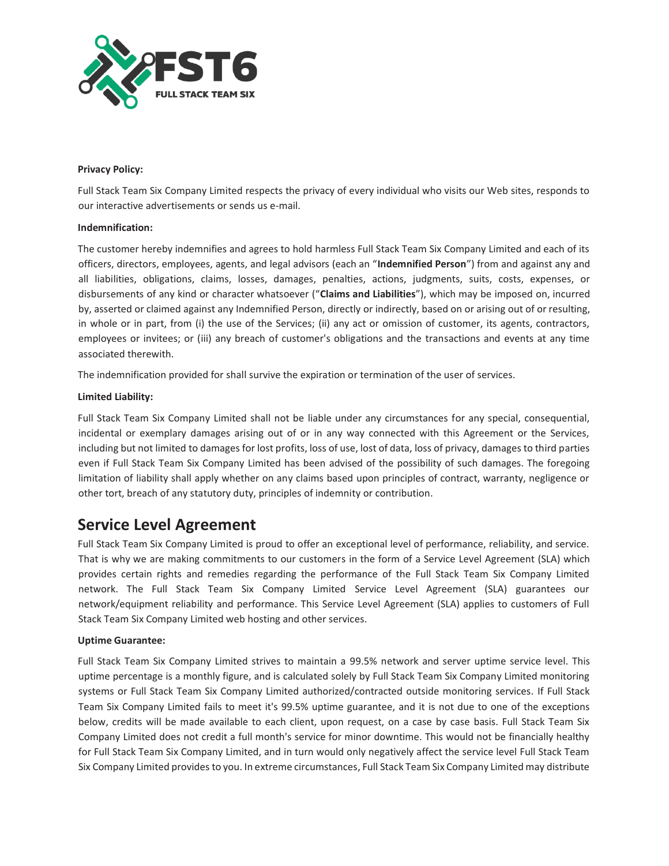

## **Privacy Policy:**

Full Stack Team Six Company Limited respects the privacy of every individual who visits our Web sites, responds to our interactive advertisements or sends us e-mail.

## **Indemnification:**

The customer hereby indemnifies and agrees to hold harmless Full Stack Team Six Company Limited and each of its officers, directors, employees, agents, and legal advisors (each an "**Indemnified Person**") from and against any and all liabilities, obligations, claims, losses, damages, penalties, actions, judgments, suits, costs, expenses, or disbursements of any kind or character whatsoever ("**Claims and Liabilities**"), which may be imposed on, incurred by, asserted or claimed against any Indemnified Person, directly or indirectly, based on or arising out of or resulting, in whole or in part, from (i) the use of the Services; (ii) any act or omission of customer, its agents, contractors, employees or invitees; or (iii) any breach of customer's obligations and the transactions and events at any time associated therewith.

The indemnification provided for shall survive the expiration or termination of the user of services.

## **Limited Liability:**

Full Stack Team Six Company Limited shall not be liable under any circumstances for any special, consequential, incidental or exemplary damages arising out of or in any way connected with this Agreement or the Services, including but not limited to damages for lost profits, loss of use, lost of data, loss of privacy, damages to third parties even if Full Stack Team Six Company Limited has been advised of the possibility of such damages. The foregoing limitation of liability shall apply whether on any claims based upon principles of contract, warranty, negligence or other tort, breach of any statutory duty, principles of indemnity or contribution.

# **Service Level Agreement**

Full Stack Team Six Company Limited is proud to offer an exceptional level of performance, reliability, and service. That is why we are making commitments to our customers in the form of a Service Level Agreement (SLA) which provides certain rights and remedies regarding the performance of the Full Stack Team Six Company Limited network. The Full Stack Team Six Company Limited Service Level Agreement (SLA) guarantees our network/equipment reliability and performance. This Service Level Agreement (SLA) applies to customers of Full Stack Team Six Company Limited web hosting and other services.

# **Uptime Guarantee:**

Full Stack Team Six Company Limited strives to maintain a 99.5% network and server uptime service level. This uptime percentage is a monthly figure, and is calculated solely by Full Stack Team Six Company Limited monitoring systems or Full Stack Team Six Company Limited authorized/contracted outside monitoring services. If Full Stack Team Six Company Limited fails to meet it's 99.5% uptime guarantee, and it is not due to one of the exceptions below, credits will be made available to each client, upon request, on a case by case basis. Full Stack Team Six Company Limited does not credit a full month's service for minor downtime. This would not be financially healthy for Full Stack Team Six Company Limited, and in turn would only negatively affect the service level Full Stack Team Six Company Limited provides to you. In extreme circumstances, Full Stack Team Six Company Limited may distribute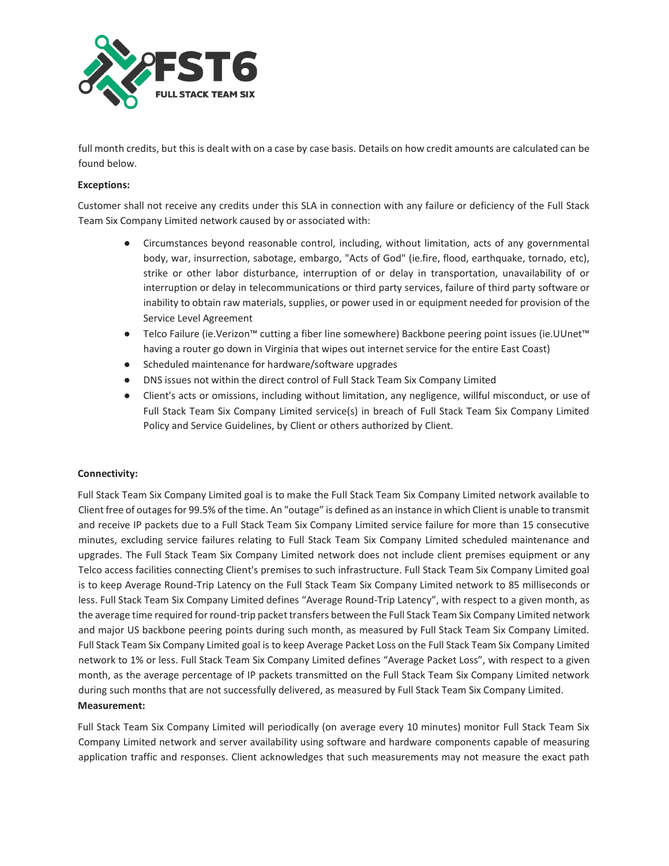

full month credits, but this is dealt with on a case by case basis. Details on how credit amounts are calculated can be found below.

## **Exceptions:**

Customer shall not receive any credits under this SLA in connection with any failure or deficiency of the Full Stack Team Six Company Limited network caused by or associated with:

- Circumstances beyond reasonable control, including, without limitation, acts of any governmental body, war, insurrection, sabotage, embargo, "Acts of God" (ie.fire, flood, earthquake, tornado, etc), strike or other labor disturbance, interruption of or delay in transportation, unavailability of or interruption or delay in telecommunications or third party services, failure of third party software or inability to obtain raw materials, supplies, or power used in or equipment needed for provision of the Service Level Agreement
- Telco Failure (ie.Verizon™ cutting a fiber line somewhere) Backbone peering point issues (ie.UUnet™ having a router go down in Virginia that wipes out internet service for the entire East Coast)
- Scheduled maintenance for hardware/software upgrades
- DNS issues not within the direct control of Full Stack Team Six Company Limited
- Client's acts or omissions, including without limitation, any negligence, willful misconduct, or use of Full Stack Team Six Company Limited service(s) in breach of Full Stack Team Six Company Limited Policy and Service Guidelines, by Client or others authorized by Client.

#### **Connectivity:**

Full Stack Team Six Company Limited goal is to make the Full Stack Team Six Company Limited network available to Client free of outages for 99.5% of the time. An "outage" is defined as an instance in which Client is unable to transmit and receive IP packets due to a Full Stack Team Six Company Limited service failure for more than 15 consecutive minutes, excluding service failures relating to Full Stack Team Six Company Limited scheduled maintenance and upgrades. The Full Stack Team Six Company Limited network does not include client premises equipment or any Telco access facilities connecting Client's premises to such infrastructure. Full Stack Team Six Company Limited goal is to keep Average Round-Trip Latency on the Full Stack Team Six Company Limited network to 85 milliseconds or less. Full Stack Team Six Company Limited defines "Average Round-Trip Latency", with respect to a given month, as the average time required for round-trip packet transfers between the Full Stack Team Six Company Limited network and major US backbone peering points during such month, as measured by Full Stack Team Six Company Limited. Full Stack Team Six Company Limited goal is to keep Average Packet Loss on the Full Stack Team Six Company Limited network to 1% or less. Full Stack Team Six Company Limited defines "Average Packet Loss", with respect to a given month, as the average percentage of IP packets transmitted on the Full Stack Team Six Company Limited network during such months that are not successfully delivered, as measured by Full Stack Team Six Company Limited. **Measurement:**

Full Stack Team Six Company Limited will periodically (on average every 10 minutes) monitor Full Stack Team Six Company Limited network and server availability using software and hardware components capable of measuring application traffic and responses. Client acknowledges that such measurements may not measure the exact path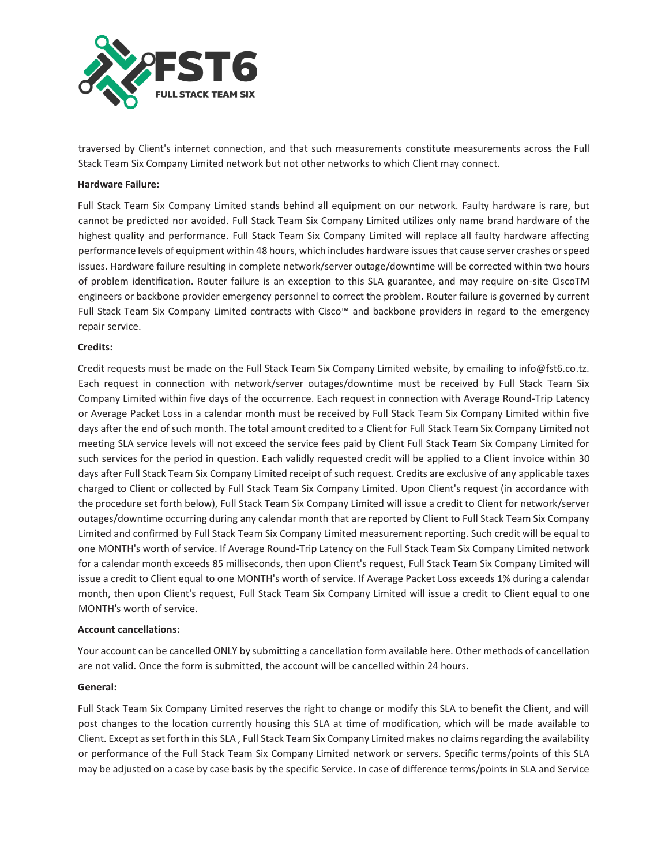

traversed by Client's internet connection, and that such measurements constitute measurements across the Full Stack Team Six Company Limited network but not other networks to which Client may connect.

#### **Hardware Failure:**

Full Stack Team Six Company Limited stands behind all equipment on our network. Faulty hardware is rare, but cannot be predicted nor avoided. Full Stack Team Six Company Limited utilizes only name brand hardware of the highest quality and performance. Full Stack Team Six Company Limited will replace all faulty hardware affecting performance levels of equipment within 48 hours, which includes hardware issues that cause server crashes or speed issues. Hardware failure resulting in complete network/server outage/downtime will be corrected within two hours of problem identification. Router failure is an exception to this SLA guarantee, and may require on-site CiscoTM engineers or backbone provider emergency personnel to correct the problem. Router failure is governed by current Full Stack Team Six Company Limited contracts with Cisco™ and backbone providers in regard to the emergency repair service.

#### **Credits:**

Credit requests must be made on the Full Stack Team Six Company Limited website, by emailing to info@fst6.co.tz. Each request in connection with network/server outages/downtime must be received by Full Stack Team Six Company Limited within five days of the occurrence. Each request in connection with Average Round-Trip Latency or Average Packet Loss in a calendar month must be received by Full Stack Team Six Company Limited within five days after the end of such month. The total amount credited to a Client for Full Stack Team Six Company Limited not meeting SLA service levels will not exceed the service fees paid by Client Full Stack Team Six Company Limited for such services for the period in question. Each validly requested credit will be applied to a Client invoice within 30 days after Full Stack Team Six Company Limited receipt of such request. Credits are exclusive of any applicable taxes charged to Client or collected by Full Stack Team Six Company Limited. Upon Client's request (in accordance with the procedure set forth below), Full Stack Team Six Company Limited will issue a credit to Client for network/server outages/downtime occurring during any calendar month that are reported by Client to Full Stack Team Six Company Limited and confirmed by Full Stack Team Six Company Limited measurement reporting. Such credit will be equal to one MONTH's worth of service. If Average Round-Trip Latency on the Full Stack Team Six Company Limited network for a calendar month exceeds 85 milliseconds, then upon Client's request, Full Stack Team Six Company Limited will issue a credit to Client equal to one MONTH's worth of service. If Average Packet Loss exceeds 1% during a calendar month, then upon Client's request, Full Stack Team Six Company Limited will issue a credit to Client equal to one MONTH's worth of service.

#### **Account cancellations:**

Your account can be cancelled ONLY by submitting a cancellation form available here. Other methods of cancellation are not valid. Once the form is submitted, the account will be cancelled within 24 hours.

#### **General:**

Full Stack Team Six Company Limited reserves the right to change or modify this SLA to benefit the Client, and will post changes to the location currently housing this SLA at time of modification, which will be made available to Client. Except as set forth in this SLA , Full Stack Team Six Company Limited makes no claims regarding the availability or performance of the Full Stack Team Six Company Limited network or servers. Specific terms/points of this SLA may be adjusted on a case by case basis by the specific Service. In case of difference terms/points in SLA and Service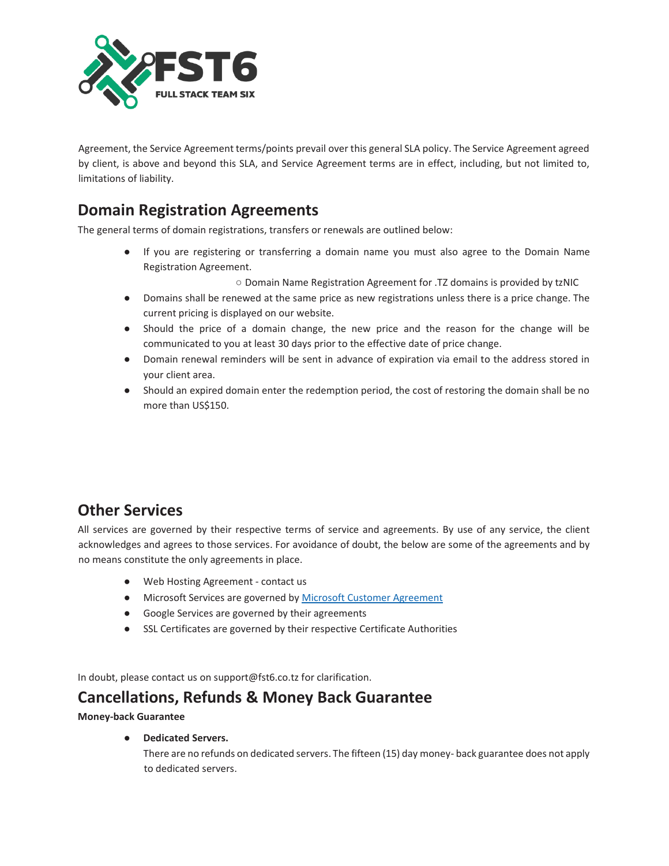

Agreement, the Service Agreement terms/points prevail over this general SLA policy. The Service Agreement agreed by client, is above and beyond this SLA, and Service Agreement terms are in effect, including, but not limited to, limitations of liability.

# **Domain Registration Agreements**

The general terms of domain registrations, transfers or renewals are outlined below:

- If you are registering or transferring a domain name you must also agree to the Domain Name Registration Agreement.
	- Domain Name Registration Agreement for .TZ domains is provided by tzNIC
- Domains shall be renewed at the same price as new registrations unless there is a price change. The current pricing is displayed on our website.
- Should the price of a domain change, the new price and the reason for the change will be communicated to you at least 30 days prior to the effective date of price change.
- Domain renewal reminders will be sent in advance of expiration via email to the address stored in your client area.
- Should an expired domain enter the redemption period, the cost of restoring the domain shall be no more than US\$150.

# **Other Services**

All services are governed by their respective terms of service and agreements. By use of any service, the client acknowledges and agrees to those services. For avoidance of doubt, the below are some of the agreements and by no means constitute the only agreements in place.

- Web Hosting Agreement contact us
- Microsoft Services are governed by [Microsoft Customer](https://www.microsoft.com/licensing/docs/customeragreement) [Agreement](https://www.microsoft.com/licensing/docs/customeragreement)
- Google Services are governed by their agreements
- SSL Certificates are governed by their respective Certificate Authorities

In doubt, please contact us on support@fst6.co.tz for clarification.

# **Cancellations, Refunds & Money Back Guarantee**

# **Money-back Guarantee**

# ● **Dedicated Servers.**

There are no refunds on dedicated servers. The fifteen (15) day money- back guarantee does not apply to dedicated servers.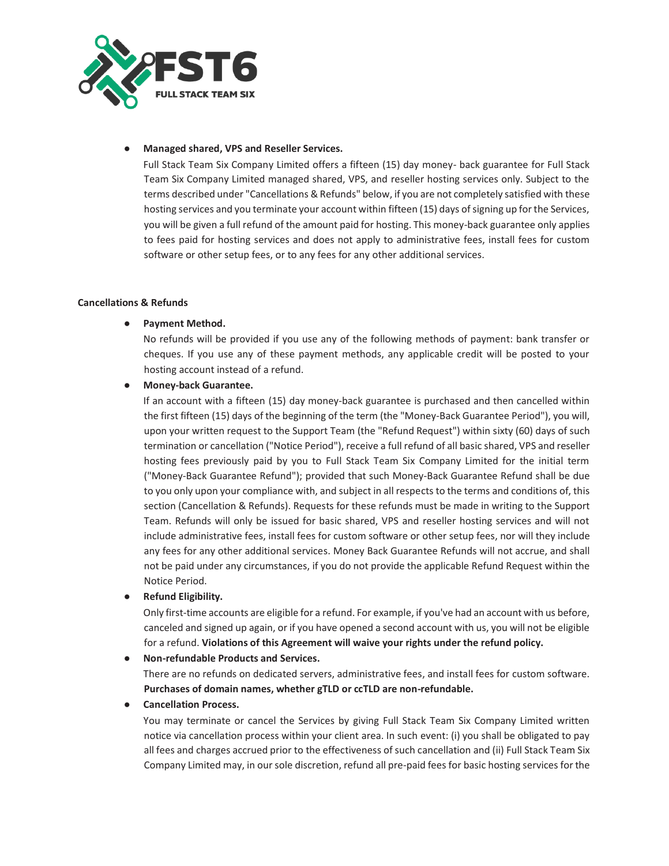

## ● **Managed shared, VPS and Reseller Services.**

Full Stack Team Six Company Limited offers a fifteen (15) day money- back guarantee for Full Stack Team Six Company Limited managed shared, VPS, and reseller hosting services only. Subject to the terms described under "Cancellations & Refunds" below, if you are not completely satisfied with these hosting services and you terminate your account within fifteen (15) days of signing up for the Services, you will be given a full refund of the amount paid for hosting. This money-back guarantee only applies to fees paid for hosting services and does not apply to administrative fees, install fees for custom software or other setup fees, or to any fees for any other additional services.

#### **Cancellations & Refunds**

# ● **Payment Method.**

No refunds will be provided if you use any of the following methods of payment: bank transfer or cheques. If you use any of these payment methods, any applicable credit will be posted to your hosting account instead of a refund.

● **Money-back Guarantee.**

If an account with a fifteen (15) day money-back guarantee is purchased and then cancelled within the first fifteen (15) days of the beginning of the term (the "Money-Back Guarantee Period"), you will, upon your written request to the Support Team (the "Refund Request") within sixty (60) days of such termination or cancellation ("Notice Period"), receive a full refund of all basic shared, VPS and reseller hosting fees previously paid by you to Full Stack Team Six Company Limited for the initial term ("Money-Back Guarantee Refund"); provided that such Money-Back Guarantee Refund shall be due to you only upon your compliance with, and subject in all respects to the terms and conditions of, this section (Cancellation & Refunds). Requests for these refunds must be made in writing to the Support Team. Refunds will only be issued for basic shared, VPS and reseller hosting services and will not include administrative fees, install fees for custom software or other setup fees, nor will they include any fees for any other additional services. Money Back Guarantee Refunds will not accrue, and shall not be paid under any circumstances, if you do not provide the applicable Refund Request within the Notice Period.

#### **Refund Eligibility.**

Only first-time accounts are eligible for a refund. For example, if you've had an account with us before, canceled and signed up again, or if you have opened a second account with us, you will not be eligible for a refund. **Violations of this Agreement will waive your rights under the refund policy.**

# ● **Non-refundable Products and Services.**

There are no refunds on dedicated servers, administrative fees, and install fees for custom software. **Purchases of domain names, whether gTLD or ccTLD are non-refundable.**

# **Cancellation Process.**

You may terminate or cancel the Services by giving Full Stack Team Six Company Limited written notice via cancellation process within your client area. In such event: (i) you shall be obligated to pay all fees and charges accrued prior to the effectiveness of such cancellation and (ii) Full Stack Team Six Company Limited may, in our sole discretion, refund all pre-paid fees for basic hosting services for the